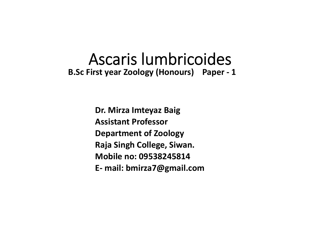#### Ascaris lumbricoides **B.Sc First year Zoology (Honours) Paper ‐ 1**

**Dr. Mirza Imteyaz Baig Assistant ProfessorDepartment of Zoology Raja Singh College, Siwan. Mobile no: 09538245814E‐ mail: bmirza7@gmail.com**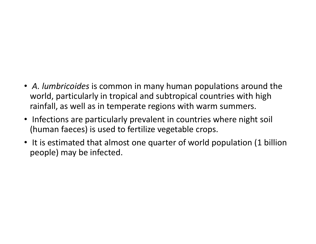- *A. lumbricoides* is common in many human populations around the world, particularly in tropical and subtropical countries with high rainfall, as well as in temperate regions with warm summers.
- Infections are particularly prevalent in countries where night soil (human faeces) is used to fertilize vegetable crops.
- It is estimated that almost one quarter of world population (1 billion people) may be infected.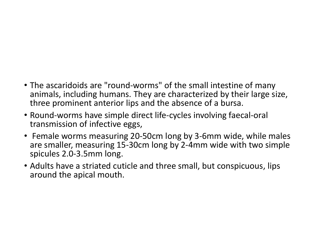- The ascaridoids are "round‐worms" of the small intestine of many animals, including humans. They are characterized by their large size, three prominent anterior lips and the absence of a bursa.
- Round‐worms have simple direct life‐cycles involving faecal‐oral transmission of infective eggs,
- Female worms measuring 20‐50cm long by 3‐6mm wide, while males are smaller, measuring 15‐30cm long by 2‐4mm wide with two simple spicules 2.0‐3.5mm long.
- Adults have a striated cuticle and three small, but conspicuous, lips around the apical mouth.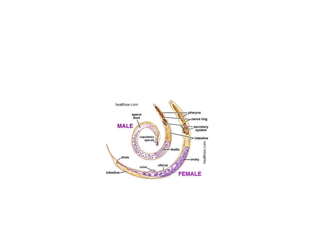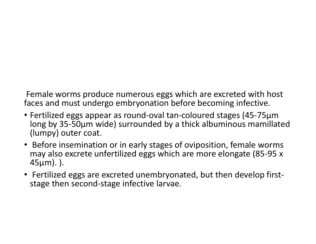Female worms produce numerous eggs which are excreted with host faces and must undergo embryonation before becoming infective.

- Fertilized eggs appear as round‐oval tan‐coloured stages (45‐75µm long by 35‐50µm wide) surrounded by a thick albuminous mamillate d (lumpy) outer coat.
- Before insemination or in early stages of oviposition, female worms may also excrete unfertilized eggs which are more elongate (85‐95 x 45µm). ).
- Fertilized eggs are excreted unembryonated, but then develop first‐ stage then second‐stage infective larvae.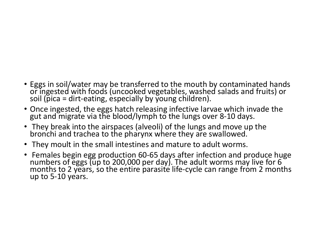- Eggs in soil/water may be transferred to the mouth by contaminated hands or ingested with foods (uncooked vegetables, washed salads and fruits) or soil (pica = dirt-eating, especially by young children).
- Once ingested, the eggs hatch releasing infective larvae which invade the gut and migrate via the blood/lymph to the lungs over 8-10 days.
- They break into the airspaces (alveoli) of the lungs and move up the bronchi and trachea to the pharynx where they are swallowed.
- They moult in the small intestines and mature to adult worms.
- Females begin egg production 60-65 days after infection and produce huge<br>numbers of eggs (up to 200,000 per day). The adult worms may live for 6<br>months to 2 years, so the entire parasite life-cycle can range from 2 month up to 5‐10 years.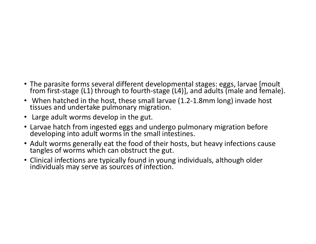- The parasite forms several different developmental stages: eggs, larvae [moult<br>from first-stage (L1) through to fourth-stage (L4)], and adults (male and female).
- When hatched in the host, these small larvae (1.2-1.8mm long) invade host tissues and undertake pulmonary migration.
- Large adult worms develop in the gut.
- Larvae hatch from ingested eggs and undergo pulmonary migration before developing into adult worms in the small intestines.
- Adult worms generally eat the food of their hosts, but heavy infections cause tangles of worms which can obstruct the gut.
- Clinical infections are typically found in young individuals, although older individuals may serve as sources of infection.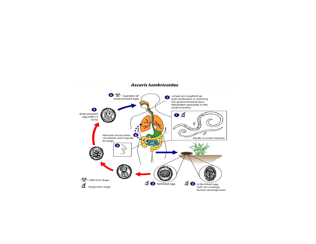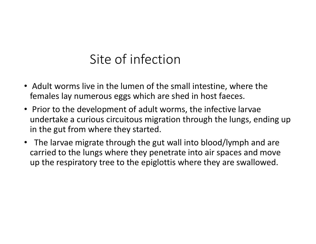# Site of infection

- Adult worms live in the lumen of the small intestine, where the females lay numerous eggs which are shed in host faeces.
- Prior to the development of adult worms, the infective larvae undertake a curious circuitous migration through the lungs, ending up in the gut from where they started.
- The larvae migrate through the gut wall into blood/lymph and are carried to the lungs where they penetrate into air spaces and move up the respiratory tree to the epiglottis where they are swallowed.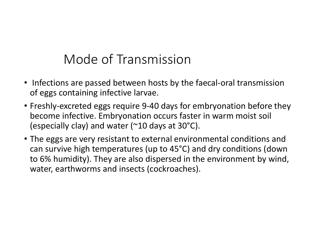## Mode of Transmission

- Infections are passed between hosts by the faecal-oral transmission of eggs containing infective larvae.
- Freshly‐excreted eggs require 9‐40 days for embryonation before they become infective. Embryonation occurs faster in warm moist soil (especially clay) and water ( $\sim$ 10 days at 30 $\rm{°C}$ ).
- The eggs are very resistant to external environmental conditions and can survive high temperatures (up to 45°C) and dry conditions (down to 6% humidity). They are also dispersed in the environment by wind, water, earthworms and insects (cockroaches).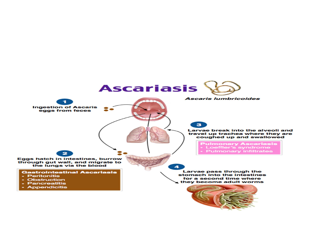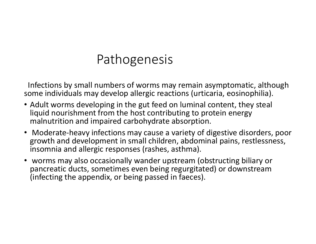### Pathogenesis

Infections by small numbers of worms may remain asymptomatic, although some individuals may develop allergic reactions (urticaria, eosinophilia).

- Adult worms developing in the gut feed on luminal content, they steal liquid nourishment from the host contributing to protein energy malnutrition and impaired carbohydrate absorption.
- Moderate-heavy infections may cause a variety of digestive disorders, poor growth and development in small children, abdominal pains, restlessness, insomnia and allergic responses (rashes, asthma).
- • worms may also occasionally wander upstream (obstructing biliary or pancreatic ducts, sometimes even being regurgitated) or downstream (infecting the appendix, or being passed in faeces).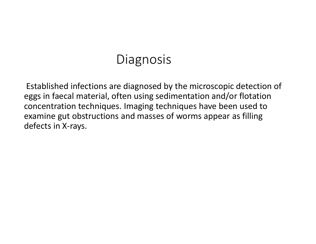#### **Diagnosis**

Established infections are diagnosed by the microscopic detection of eggs in faecal material, often using sedimentation and/or flotation concentration techniques. Imaging techniques have been used to examine gut obstructions and masses of worms appear as filling defects in X‐rays.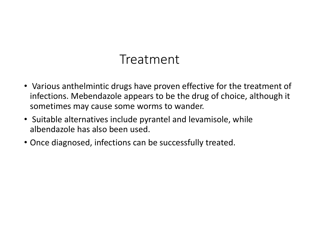## Treatment

- Various anthelmintic drugs have proven effective for the treatment of infections. Mebendazole appears to be the drug of choice, although it sometimes may cause some worms to wander.
- Suitable alternatives include pyrantel and levamisole, while albendazole has also been used.
- Once diagnosed, infections can be successfully treated.